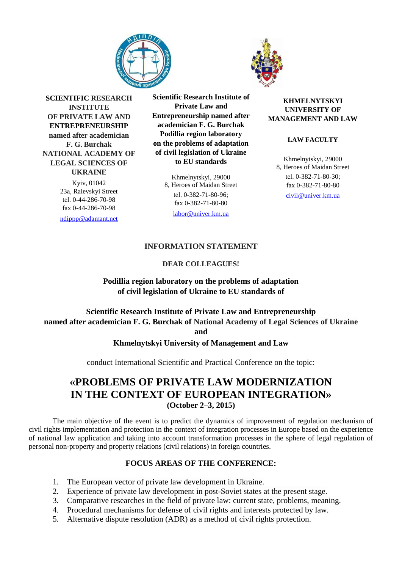



**SCIENTIFIC RESEARCH INSTITUTE OF PRIVATE LAW AND ENTREPRENEURSHIP named after academician F. G. Burchak NATIONAL ACADEMY OF LEGAL SCIENCES OF UKRAINE** Kyiv, 01042

23а, Raievskyi Street tel. 0-44-286-70-98 fax 0-44-286-70-98

[ndippp@adamant.net](mailto:ndippp@adamant.net)

**Scientific Research Institute of Private Law and Entrepreneurship named after academician F. G. Burchak Podillia region laboratory on the problems of adaptation of civil legislation of Ukraine to EU standards**

> Khmelnytskyi, 29000 8, Heroes of Maidan Street tel. 0-382-71-80-96; fax 0-382-71-80-80

[labor@univer.km.ua](mailto:labor@univer.km.ua)

#### **KHMELNYTSKYI UNIVERSITY OF MANAGEMENT AND LAW**

## **LAW FACULTY**

Khmelnytskyi, 29000 8, Heroes of Maidan Street tel. 0-382-71-80-30; fax 0-382-71-80-80 [civil@univer.km.ua](mailto:civil@univer.km.ua)

# **INFORMATION STATEMENT**

# **DEAR COLLEAGUES!**

**Podillia region laboratory on the problems of adaptation of civil legislation of Ukraine to EU standards of**

# **Scientific Research Institute of Private Law and Entrepreneurship named after academician F. G. Burchak of National Academy of Legal Sciences of Ukraine and**

**Khmelnytskyi University of Management and Law**

conduct International Scientific and Practical Conference on the topic:

# **«PROBLEMS OF PRIVATE LAW MODERNIZATION IN THE CONTEXT OF EUROPEAN INTEGRATION» (October 2–3, 2015)**

The main objective of the event is to predict the dynamics of improvement of regulation mechanism of civil rights implementation and protection in the context of integration processes in Europe based on the experience of national law application and taking into account transformation processes in the sphere of legal regulation of personal non-property and property relations (civil relations) in foreign countries.

# **FOCUS AREAS OF THE CONFERENCE:**

- 1. The European vector of private law development in Ukraine.
- 2. Experience of private law development in post-Soviet states at the present stage.
- 3. Comparative researches in the field of private law: current state, problems, meaning.
- 4. Procedural mechanisms for defense of civil rights and interests protected by law.
- 5. Alternative dispute resolution (ADR) as a method of civil rights protection.